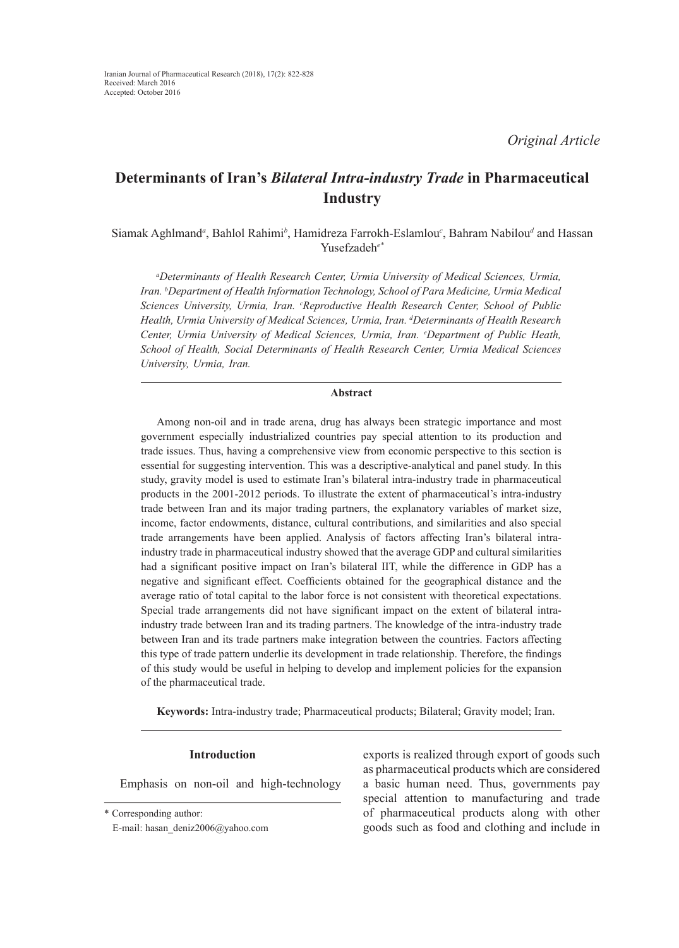# **Determinants of Iran's** *Bilateral Intra-industry Trade* **in Pharmaceutical Industry**

Siamak Aghlmand<sup>a</sup>, Bahlol Rahimi<sup>b</sup>, Hamidreza Farrokh-Eslamlou<sup>c</sup>, Bahram Nabilou<sup>d</sup> and Hassan Yusefzadeh*e\**

*a Determinants of Health Research Center, Urmia University of Medical Sciences, Urmia, Iran. b Department of Health Information Technology, School of Para Medicine, Urmia Medical*  Sciences University, Urmia, Iran. <sup>c</sup>Reproductive Health Research Center, School of Public *Health, Urmia University of Medical Sciences, Urmia, Iran. d Determinants of Health Research Center, Urmia University of Medical Sciences, Urmia, Iran. e Department of Public Heath, School of Health, Social Determinants of Health Research Center, Urmia Medical Sciences University, Urmia, Iran.*

## **Abstract**

Among non-oil and in trade arena, drug has always been strategic importance and most government especially industrialized countries pay special attention to its production and trade issues. Thus, having a comprehensive view from economic perspective to this section is essential for suggesting intervention. This was a descriptive-analytical and panel study. In this study, gravity model is used to estimate Iran's bilateral intra-industry trade in pharmaceutical products in the 2001-2012 periods. To illustrate the extent of pharmaceutical's intra-industry trade between Iran and its major trading partners, the explanatory variables of market size, income, factor endowments, distance, cultural contributions, and similarities and also special trade arrangements have been applied. Analysis of factors affecting Iran's bilateral intraindustry trade in pharmaceutical industry showed that the average GDP and cultural similarities had a significant positive impact on Iran's bilateral IIT, while the difference in GDP has a negative and significant effect. Coefficients obtained for the geographical distance and the average ratio of total capital to the labor force is not consistent with theoretical expectations. Special trade arrangements did not have significant impact on the extent of bilateral intraindustry trade between Iran and its trading partners. The knowledge of the intra-industry trade between Iran and its trade partners make integration between the countries. Factors affecting this type of trade pattern underlie its development in trade relationship. Therefore, the findings of this study would be useful in helping to develop and implement policies for the expansion of the pharmaceutical trade.

**Keywords:** Intra-industry trade; Pharmaceutical products; Bilateral; Gravity model; Iran.

#### **Introduction**

Emphasis on non-oil and high-technology

exports is realized through export of goods such as pharmaceutical products which are considered a basic human need. Thus, governments pay special attention to manufacturing and trade of pharmaceutical products along with other goods such as food and clothing and include in

<sup>\*</sup> Corresponding author:

E-mail: hasan\_deniz2006@yahoo.com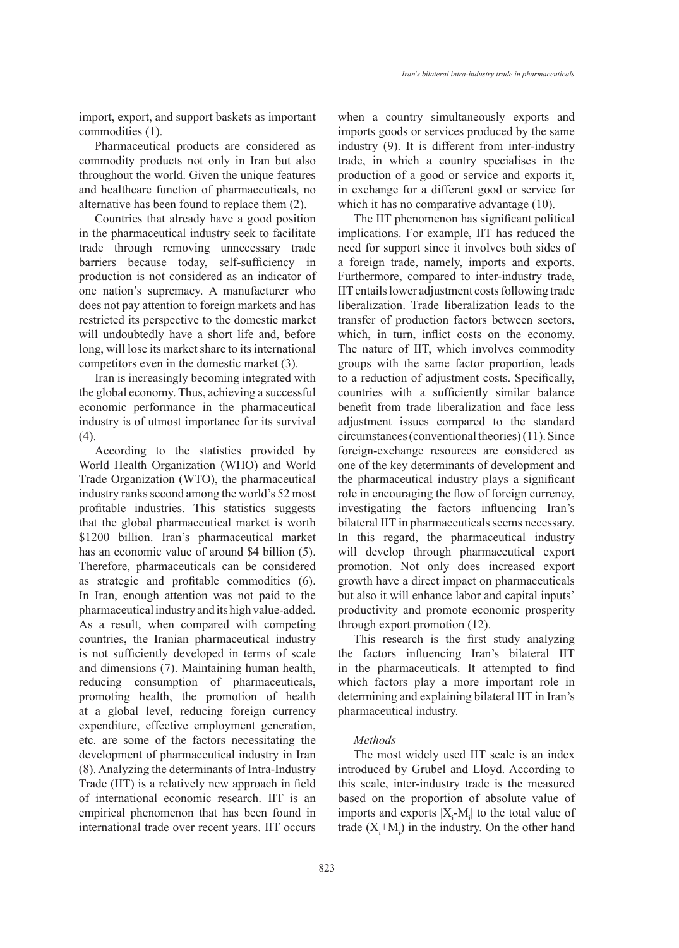import, export, and support baskets as important commodities (1).

Pharmaceutical products are considered as commodity products not only in Iran but also throughout the world. Given the unique features and healthcare function of pharmaceuticals, no alternative has been found to replace them (2).

Countries that already have a good position in the pharmaceutical industry seek to facilitate trade through removing unnecessary trade barriers because today, self-sufficiency in production is not considered as an indicator of one nation's supremacy. A manufacturer who does not pay attention to foreign markets and has restricted its perspective to the domestic market will undoubtedly have a short life and, before long, will lose its market share to its international competitors even in the domestic market (3).

Iran is increasingly becoming integrated with the global economy. Thus, achieving a successful economic performance in the pharmaceutical industry is of utmost importance for its survival (4).

According to the statistics provided by World Health Organization (WHO) and World Trade Organization (WTO), the pharmaceutical industry ranks second among the world's 52 most profitable industries. This statistics suggests that the global pharmaceutical market is worth \$1200 billion. Iran's pharmaceutical market has an economic value of around \$4 billion (5). Therefore, pharmaceuticals can be considered as strategic and profitable commodities (6). In Iran, enough attention was not paid to the pharmaceutical industry and its high value-added. As a result, when compared with competing countries, the Iranian pharmaceutical industry is not sufficiently developed in terms of scale and dimensions (7). Maintaining human health, reducing consumption of pharmaceuticals, promoting health, the promotion of health at a global level, reducing foreign currency expenditure, effective employment generation, etc. are some of the factors necessitating the development of pharmaceutical industry in Iran (8). Analyzing the determinants of Intra-Industry Trade (IIT) is a relatively new approach in field of international economic research. IIT is an empirical phenomenon that has been found in international trade over recent years. IIT occurs when a country simultaneously exports and imports goods or services produced by the same industry (9). It is different from inter-industry trade, in which a country specialises in the production of a good or service and exports it, in exchange for a different good or service for which it has no comparative advantage  $(10)$ .

The IIT phenomenon has significant political implications. For example, IIT has reduced the need for support since it involves both sides of a foreign trade, namely, imports and exports. Furthermore, compared to inter-industry trade, IIT entails lower adjustment costs following trade liberalization. Trade liberalization leads to the transfer of production factors between sectors, which, in turn, inflict costs on the economy. The nature of IIT, which involves commodity groups with the same factor proportion, leads to a reduction of adjustment costs. Specifically, countries with a sufficiently similar balance benefit from trade liberalization and face less adjustment issues compared to the standard circumstances (conventional theories) (11). Since foreign-exchange resources are considered as one of the key determinants of development and the pharmaceutical industry plays a significant role in encouraging the flow of foreign currency, investigating the factors influencing Iran's bilateral IIT in pharmaceuticals seems necessary. In this regard, the pharmaceutical industry will develop through pharmaceutical export promotion. Not only does increased export growth have a direct impact on pharmaceuticals but also it will enhance labor and capital inputs' productivity and promote economic prosperity through export promotion (12).

This research is the first study analyzing the factors influencing Iran's bilateral IIT in the pharmaceuticals. It attempted to find which factors play a more important role in determining and explaining bilateral IIT in Iran's pharmaceutical industry.

### *Methods*

The most widely used IIT scale is an index introduced by Grubel and Lloyd. According to this scale, inter-industry trade is the measured based on the proportion of absolute value of imports and exports  $|X_i-M_i|$  to the total value of trade  $(X_i+M_i)$  in the industry. On the other hand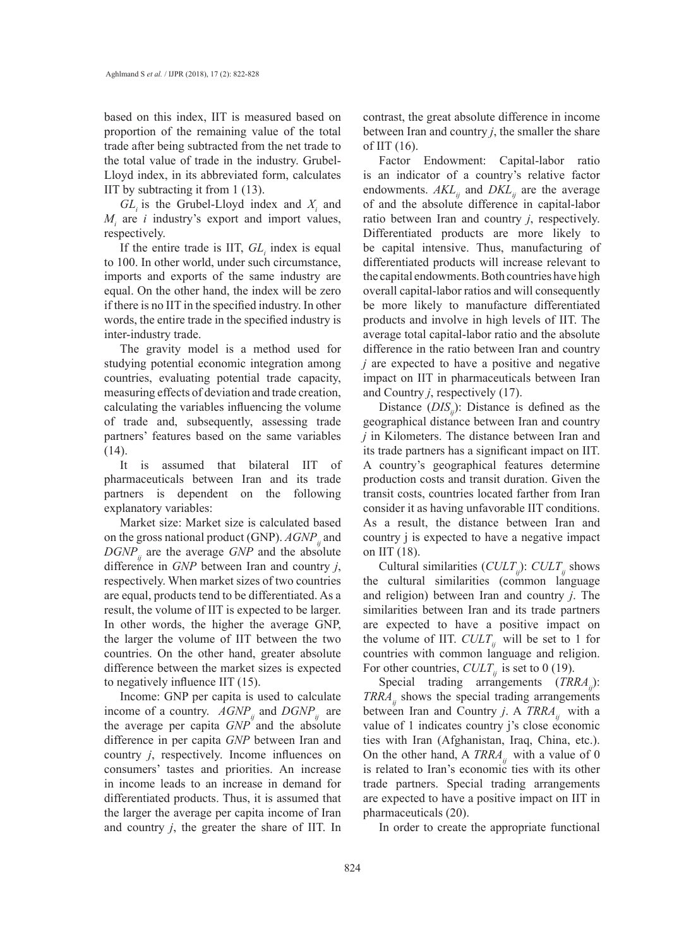based on this index, IIT is measured based on proportion of the remaining value of the total trade after being subtracted from the net trade to the total value of trade in the industry. Grubel-Lloyd index, in its abbreviated form, calculates IIT by subtracting it from 1 (13).

 $GL<sub>i</sub>$  is the Grubel-Lloyd index and  $X<sub>i</sub>$  and  $M_i$  are *i* industry's export and import values, respectively.

If the entire trade is IIT,  $GL<sub>i</sub>$  index is equal to 100. In other world, under such circumstance, imports and exports of the same industry are equal. On the other hand, the index will be zero if there is no IIT in the specified industry. In other words, the entire trade in the specified industry is inter-industry trade.

The gravity model is a method used for studying potential economic integration among countries, evaluating potential trade capacity, measuring effects of deviation and trade creation, calculating the variables influencing the volume of trade and, subsequently, assessing trade partners' features based on the same variables (14).

It is assumed that bilateral IIT of pharmaceuticals between Iran and its trade partners is dependent on the following explanatory variables:

Market size: Market size is calculated based on the gross national product (GNP).  $AGNP$ <sub>*ij*</sub> and  $DGNP_{ij}$  are the average *GNP* and the absolute difference in *GNP* between Iran and country *j*, respectively. When market sizes of two countries are equal, products tend to be differentiated. As a result, the volume of IIT is expected to be larger. In other words, the higher the average GNP, the larger the volume of IIT between the two countries. On the other hand, greater absolute difference between the market sizes is expected to negatively influence IIT (15).

Income: GNP per capita is used to calculate income of a country.  $AGNP_{ij}$  and  $DGNP_{ij}$  are the average per capita *GNP* and the absolute difference in per capita *GNP* between Iran and country *j*, respectively. Income influences on consumers' tastes and priorities. An increase in income leads to an increase in demand for differentiated products. Thus, it is assumed that the larger the average per capita income of Iran and country *j*, the greater the share of IIT. In

contrast, the great absolute difference in income between Iran and country *j*, the smaller the share of IIT  $(16)$ .

Factor Endowment: Capital-labor ratio is an indicator of a country's relative factor endowments.  $AKL_{ij}$  and  $DKL_{ij}$  are the average of and the absolute difference in capital-labor ratio between Iran and country *j*, respectively. Differentiated products are more likely to be capital intensive. Thus, manufacturing of differentiated products will increase relevant to the capital endowments. Both countries have high overall capital-labor ratios and will consequently be more likely to manufacture differentiated products and involve in high levels of IIT. The average total capital-labor ratio and the absolute difference in the ratio between Iran and country *j* are expected to have a positive and negative impact on IIT in pharmaceuticals between Iran and Country *j*, respectively (17).

Distance  $(DIS_{ij})$ : Distance is defined as the geographical distance between Iran and country *j* in Kilometers. The distance between Iran and its trade partners has a significant impact on IIT. A country's geographical features determine production costs and transit duration. Given the transit costs, countries located farther from Iran consider it as having unfavorable IIT conditions. As a result, the distance between Iran and country j is expected to have a negative impact on IIT (18).

Cultural similarities  $(CULT_{ij})$ :  $CULT_{ij}$  shows the cultural similarities (common language and religion) between Iran and country *j*. The similarities between Iran and its trade partners are expected to have a positive impact on the volume of IIT.  $CULT_{ij}$  will be set to 1 for countries with common language and religion. For other countries,  $CULT_{ii}$  is set to 0 (19).

Special trading arrangements (*TRRA<sub>ii</sub>*): *TRRA<sub>ii</sub>* shows the special trading arrangements between Iran and Country *j*. A *TRRA*<sub>*ii*</sub> with a value of 1 indicates country j's close economic ties with Iran (Afghanistan, Iraq, China, etc.). On the other hand, A  $TRRA_{ij}$  with a value of 0 is related to Iran's economic ties with its other trade partners. Special trading arrangements are expected to have a positive impact on IIT in pharmaceuticals (20).

In order to create the appropriate functional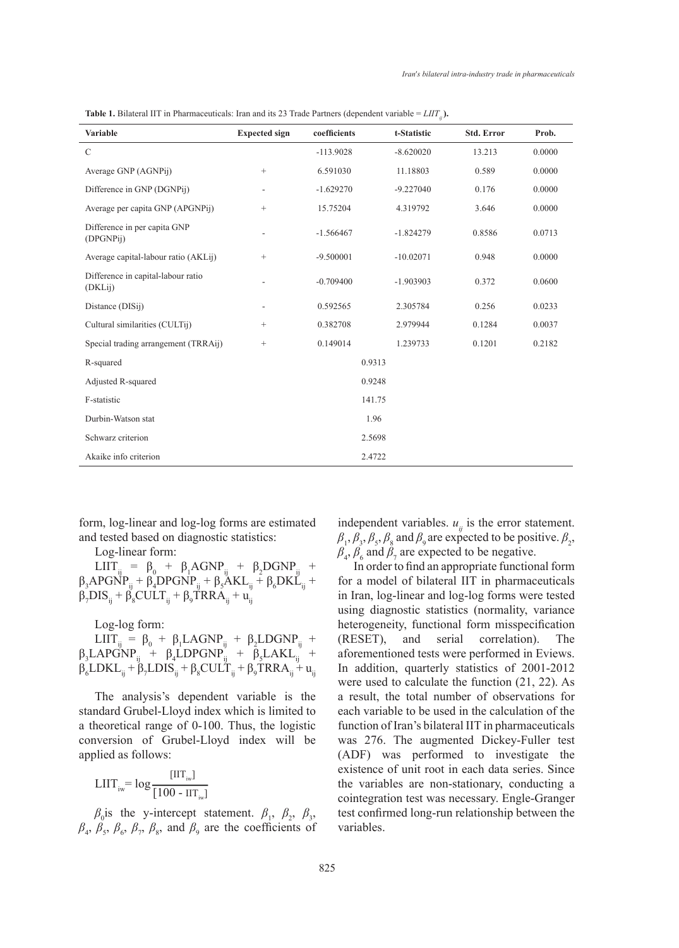| <b>Variable</b>                               | <b>Expected sign</b> | coefficients | t-Statistic | <b>Std. Error</b> | Prob.  |
|-----------------------------------------------|----------------------|--------------|-------------|-------------------|--------|
| $\mathcal{C}$                                 |                      | $-113.9028$  | $-8.620020$ | 13.213            | 0.0000 |
| Average GNP (AGNPij)                          | $+$                  | 6.591030     | 11.18803    | 0.589             | 0.0000 |
| Difference in GNP (DGNPij)                    |                      | $-1.629270$  | $-9.227040$ | 0.176             | 0.0000 |
| Average per capita GNP (APGNPij)              | $^{+}$               | 15.75204     | 4.319792    | 3.646             | 0.0000 |
| Difference in per capita GNP<br>(DPGNPij)     |                      | $-1.566467$  | $-1.824279$ | 0.8586            | 0.0713 |
| Average capital-labour ratio (AKLij)          | $^{+}$               | $-9.500001$  | $-10.02071$ | 0.948             | 0.0000 |
| Difference in capital-labour ratio<br>(DKLij) |                      | $-0.709400$  | $-1.903903$ | 0.372             | 0.0600 |
| Distance (DISij)                              |                      | 0.592565     | 2.305784    | 0.256             | 0.0233 |
| Cultural similarities (CULTij)                | $^{+}$               | 0.382708     | 2.979944    | 0.1284            | 0.0037 |
| Special trading arrangement (TRRAij)          | $^{+}$               | 0.149014     | 1.239733    | 0.1201            | 0.2182 |
| R-squared                                     | 0.9313               |              |             |                   |        |
| Adjusted R-squared                            | 0.9248               |              |             |                   |        |
| F-statistic                                   | 141.75               |              |             |                   |        |
| Durbin-Watson stat                            | 1.96                 |              |             |                   |        |
| Schwarz criterion                             | 2.5698               |              |             |                   |        |
| Akaike info criterion                         |                      |              | 2.4722      |                   |        |

**Table 1.** Bilateral IIT in Pharmaceuticals: Iran and its 23 Trade Partners (dependent variable = *LIIT<sub>ii</sub>*).

form, log-linear and log-log forms are estimated and tested based on diagnostic statistics:

Log-linear form:

LIIT<sub>ij</sub> =  $\beta_0$  +  $\beta_1 AGNP_{ij}$  +  $\beta_2 DGNP_{ij}$  +  $\beta_3$ APGNP<sub>ij</sub> +  $\beta_4$ DPGNP<sub>ij</sub> +  $\beta_5$ AKL<sub>ij</sub> +  $\beta_6$ DKL<sub>ij</sub> +  $\beta_7DIS_{ij} + \beta_8 CULT_{ij} + \beta_9 TRRA_{ij} + u_{ij}$ 

Log-log form:

 $LIT_{ij} = \beta_0 + \beta_1 LAGNP_{ij} + \beta_2 LDGNP_{ij} +$  $\beta_3$ LAPGNP<sub>ij</sub> +  $\beta_4$ LDPGNP<sub>ij</sub> +  $\beta_5$ LAKL<sub>ij</sub> +  $\beta_{6}$ LDKL<sub>ij</sub> +  $\beta_{7}$ LDIS<sub>ij</sub> +  $\beta_{8}$ CULT<sub>ij</sub> +  $\beta_{9}$ TRRA<sub>ij</sub> +  $u_{ij}$ 

The analysis's dependent variable is the standard Grubel-Lloyd index which is limited to a theoretical range of 0-100. Thus, the logistic conversion of Grubel-Lloyd index will be applied as follows:

$$
L\mathrm{IIT}_{\mathrm{iw}} = \log \frac{[\mathrm{IIT}_{\mathrm{iw}}]}{[100 - \mathrm{IIT}_{\mathrm{iw}}]}
$$

 $\beta_0$  is the y-intercept statement.  $\beta_1$ ,  $\beta_2$ ,  $\beta_3$ ,  $\beta_4$ ,  $\beta_5$ ,  $\beta_6$ ,  $\beta_7$ ,  $\beta_8$ , and  $\beta_9$  are the coefficients of independent variables.  $u_{ij}$  is the error statement.  $\beta_1$ ,  $\beta_3$ ,  $\beta_5$ ,  $\beta_8$  and  $\beta_9$  are expected to be positive.  $\beta_2$ ,  $\beta_4$ ,  $\beta_6$  and  $\beta_7$  are expected to be negative.

In order to find an appropriate functional form for a model of bilateral IIT in pharmaceuticals in Iran, log-linear and log-log forms were tested using diagnostic statistics (normality, variance heterogeneity, functional form misspecification (RESET), and serial correlation). The aforementioned tests were performed in Eviews. In addition, quarterly statistics of 2001-2012 were used to calculate the function (21, 22). As a result, the total number of observations for each variable to be used in the calculation of the function of Iran's bilateral IIT in pharmaceuticals was 276. The augmented Dickey-Fuller test (ADF) was performed to investigate the existence of unit root in each data series. Since the variables are non-stationary, conducting a cointegration test was necessary. Engle-Granger test confirmed long-run relationship between the variables.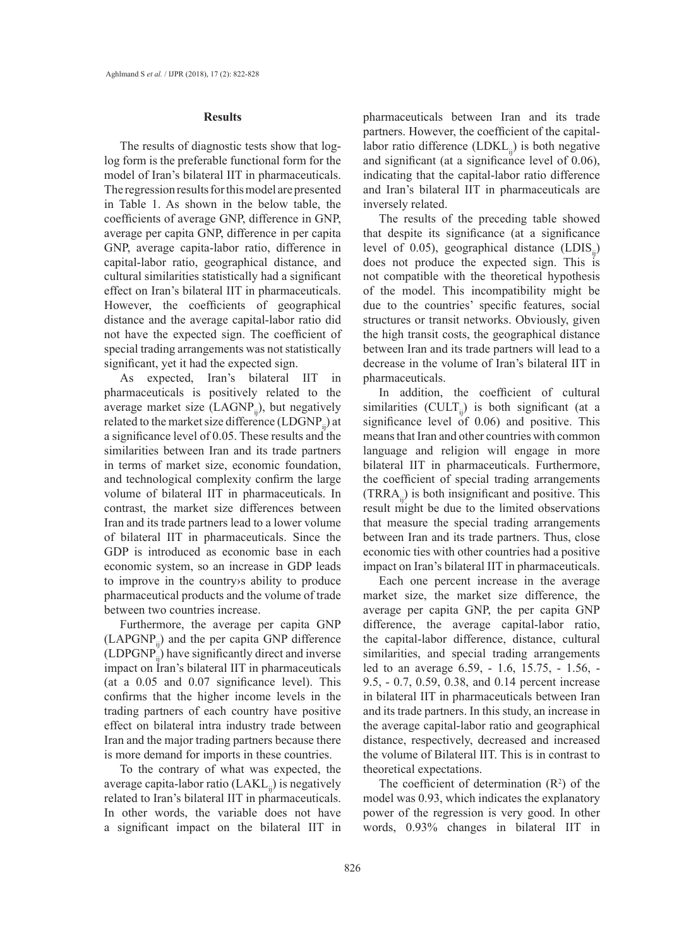### **Results**

The results of diagnostic tests show that loglog form is the preferable functional form for the model of Iran's bilateral IIT in pharmaceuticals. The regression results for this model are presented in Table 1. As shown in the below table, the coefficients of average GNP, difference in GNP, average per capita GNP, difference in per capita GNP, average capita-labor ratio, difference in capital-labor ratio, geographical distance, and cultural similarities statistically had a significant effect on Iran's bilateral IIT in pharmaceuticals. However, the coefficients of geographical distance and the average capital-labor ratio did not have the expected sign. The coefficient of special trading arrangements was not statistically significant, yet it had the expected sign.

As expected, Iran's bilateral IIT in pharmaceuticals is positively related to the average market size  $(LAGNP<sub>ii</sub>)$ , but negatively related to the market size difference (LDGNP<sub>ii</sub>) at a significance level of 0.05. These results and the similarities between Iran and its trade partners in terms of market size, economic foundation, and technological complexity confirm the large volume of bilateral IIT in pharmaceuticals. In contrast, the market size differences between Iran and its trade partners lead to a lower volume of bilateral IIT in pharmaceuticals. Since the GDP is introduced as economic base in each economic system, so an increase in GDP leads to improve in the country›s ability to produce pharmaceutical products and the volume of trade between two countries increase.

Furthermore, the average per capita GNP  $(LAPGNP<sub>ii</sub>)$  and the per capita GNP difference  $(LDPGNP<sub>i</sub>)$  have significantly direct and inverse impact on Iran's bilateral IIT in pharmaceuticals (at a 0.05 and 0.07 significance level). This confirms that the higher income levels in the trading partners of each country have positive effect on bilateral intra industry trade between Iran and the major trading partners because there is more demand for imports in these countries.

To the contrary of what was expected, the average capita-labor ratio  $(LAKL<sub>ii</sub>)$  is negatively related to Iran's bilateral IIT in pharmaceuticals. In other words, the variable does not have a significant impact on the bilateral IIT in

pharmaceuticals between Iran and its trade partners. However, the coefficient of the capitallabor ratio difference  $(LDKL_{ii})$  is both negative and significant (at a significance level of 0.06), indicating that the capital-labor ratio difference and Iran's bilateral IIT in pharmaceuticals are inversely related.

The results of the preceding table showed that despite its significance (at a significance level of 0.05), geographical distance  $(LDIS_{ii})$ does not produce the expected sign. This is not compatible with the theoretical hypothesis of the model. This incompatibility might be due to the countries' specific features, social structures or transit networks. Obviously, given the high transit costs, the geographical distance between Iran and its trade partners will lead to a decrease in the volume of Iran's bilateral IIT in pharmaceuticals.

In addition, the coefficient of cultural similarities (CULT<sub>ii</sub>) is both significant (at a significance level of 0.06) and positive. This means that Iran and other countries with common language and religion will engage in more bilateral IIT in pharmaceuticals. Furthermore, the coefficient of special trading arrangements  $(TRRA<sub>ii</sub>)$  is both insignificant and positive. This result might be due to the limited observations that measure the special trading arrangements between Iran and its trade partners. Thus, close economic ties with other countries had a positive impact on Iran's bilateral IIT in pharmaceuticals.

Each one percent increase in the average market size, the market size difference, the average per capita GNP, the per capita GNP difference, the average capital-labor ratio, the capital-labor difference, distance, cultural similarities, and special trading arrangements led to an average 6.59, - 1.6, 15.75, - 1.56, - 9.5, - 0.7, 0.59, 0.38, and 0.14 percent increase in bilateral IIT in pharmaceuticals between Iran and its trade partners. In this study, an increase in the average capital-labor ratio and geographical distance, respectively, decreased and increased the volume of Bilateral IIT. This is in contrast to theoretical expectations.

The coefficient of determination  $(R^2)$  of the model was 0.93, which indicates the explanatory power of the regression is very good. In other words, 0.93% changes in bilateral IIT in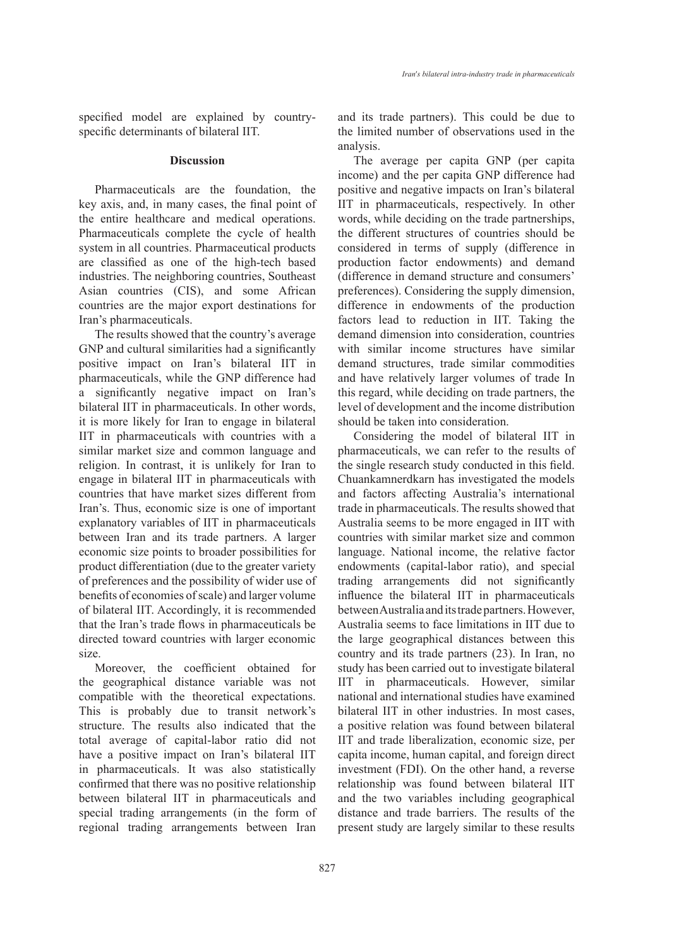specified model are explained by countryspecific determinants of bilateral IIT.

#### **Discussion**

Pharmaceuticals are the foundation, the key axis, and, in many cases, the final point of the entire healthcare and medical operations. Pharmaceuticals complete the cycle of health system in all countries. Pharmaceutical products are classified as one of the high-tech based industries. The neighboring countries, Southeast Asian countries (CIS), and some African countries are the major export destinations for Iran's pharmaceuticals.

The results showed that the country's average GNP and cultural similarities had a significantly positive impact on Iran's bilateral IIT in pharmaceuticals, while the GNP difference had a significantly negative impact on Iran's bilateral IIT in pharmaceuticals. In other words, it is more likely for Iran to engage in bilateral IIT in pharmaceuticals with countries with a similar market size and common language and religion. In contrast, it is unlikely for Iran to engage in bilateral IIT in pharmaceuticals with countries that have market sizes different from Iran's. Thus, economic size is one of important explanatory variables of IIT in pharmaceuticals between Iran and its trade partners. A larger economic size points to broader possibilities for product differentiation (due to the greater variety of preferences and the possibility of wider use of benefits of economies of scale) and larger volume of bilateral IIT. Accordingly, it is recommended that the Iran's trade flows in pharmaceuticals be directed toward countries with larger economic size.

Moreover, the coefficient obtained for the geographical distance variable was not compatible with the theoretical expectations. This is probably due to transit network's structure. The results also indicated that the total average of capital-labor ratio did not have a positive impact on Iran's bilateral IIT in pharmaceuticals. It was also statistically confirmed that there was no positive relationship between bilateral IIT in pharmaceuticals and special trading arrangements (in the form of regional trading arrangements between Iran and its trade partners). This could be due to the limited number of observations used in the analysis.

The average per capita GNP (per capita income) and the per capita GNP difference had positive and negative impacts on Iran's bilateral IIT in pharmaceuticals, respectively. In other words, while deciding on the trade partnerships, the different structures of countries should be considered in terms of supply (difference in production factor endowments) and demand (difference in demand structure and consumers' preferences). Considering the supply dimension, difference in endowments of the production factors lead to reduction in IIT. Taking the demand dimension into consideration, countries with similar income structures have similar demand structures, trade similar commodities and have relatively larger volumes of trade In this regard, while deciding on trade partners, the level of development and the income distribution should be taken into consideration.

Considering the model of bilateral IIT in pharmaceuticals, we can refer to the results of the single research study conducted in this field. Chuankamnerdkarn has investigated the models and factors affecting Australia's international trade in pharmaceuticals. The results showed that Australia seems to be more engaged in IIT with countries with similar market size and common language. National income, the relative factor endowments (capital-labor ratio), and special trading arrangements did not significantly influence the bilateral IIT in pharmaceuticals between Australia and its trade partners. However, Australia seems to face limitations in IIT due to the large geographical distances between this country and its trade partners (23). In Iran, no study has been carried out to investigate bilateral IIT in pharmaceuticals. However, similar national and international studies have examined bilateral IIT in other industries. In most cases, a positive relation was found between bilateral IIT and trade liberalization, economic size, per capita income, human capital, and foreign direct investment (FDI). On the other hand, a reverse relationship was found between bilateral IIT and the two variables including geographical distance and trade barriers. The results of the present study are largely similar to these results